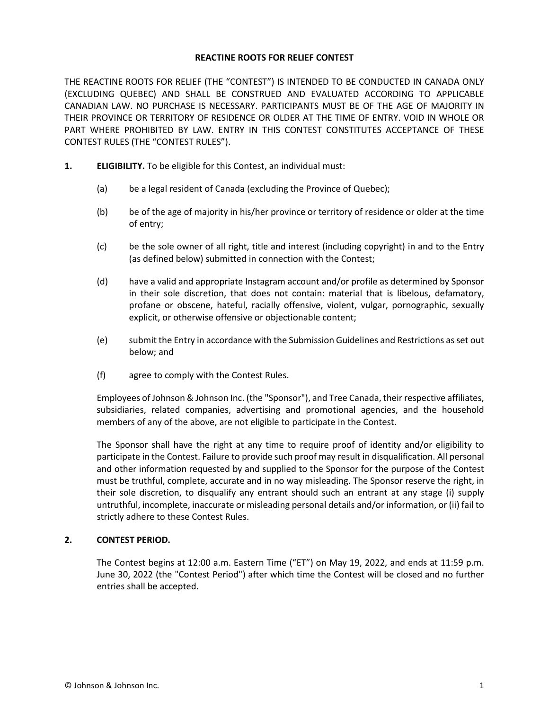#### **REACTINE ROOTS FOR RELIEF CONTEST**

THE REACTINE ROOTS FOR RELIEF (THE "CONTEST") IS INTENDED TO BE CONDUCTED IN CANADA ONLY (EXCLUDING QUEBEC) AND SHALL BE CONSTRUED AND EVALUATED ACCORDING TO APPLICABLE CANADIAN LAW. NO PURCHASE IS NECESSARY. PARTICIPANTS MUST BE OF THE AGE OF MAJORITY IN THEIR PROVINCE OR TERRITORY OF RESIDENCE OR OLDER AT THE TIME OF ENTRY. VOID IN WHOLE OR PART WHERE PROHIBITED BY LAW. ENTRY IN THIS CONTEST CONSTITUTES ACCEPTANCE OF THESE CONTEST RULES (THE "CONTEST RULES").

- **1. ELIGIBILITY.** To be eligible for this Contest, an individual must:
	- (a) be a legal resident of Canada (excluding the Province of Quebec);
	- (b) be of the age of majority in his/her province or territory of residence or older at the time of entry;
	- (c) be the sole owner of all right, title and interest (including copyright) in and to the Entry (as defined below) submitted in connection with the Contest;
	- (d) have a valid and appropriate Instagram account and/or profile as determined by Sponsor in their sole discretion, that does not contain: material that is libelous, defamatory, profane or obscene, hateful, racially offensive, violent, vulgar, pornographic, sexually explicit, or otherwise offensive or objectionable content;
	- (e) submit the Entry in accordance with the Submission Guidelines and Restrictions as set out below; and
	- (f) agree to comply with the Contest Rules.

Employees of Johnson & Johnson Inc. (the "Sponsor"), and Tree Canada, their respective affiliates, subsidiaries, related companies, advertising and promotional agencies, and the household members of any of the above, are not eligible to participate in the Contest.

The Sponsor shall have the right at any time to require proof of identity and/or eligibility to participate in the Contest. Failure to provide such proof may result in disqualification. All personal and other information requested by and supplied to the Sponsor for the purpose of the Contest must be truthful, complete, accurate and in no way misleading. The Sponsor reserve the right, in their sole discretion, to disqualify any entrant should such an entrant at any stage (i) supply untruthful, incomplete, inaccurate or misleading personal details and/or information, or (ii) fail to strictly adhere to these Contest Rules.

### **2. CONTEST PERIOD.**

The Contest begins at 12:00 a.m. Eastern Time ("ET") on May 19, 2022, and ends at 11:59 p.m. June 30, 2022 (the "Contest Period") after which time the Contest will be closed and no further entries shall be accepted.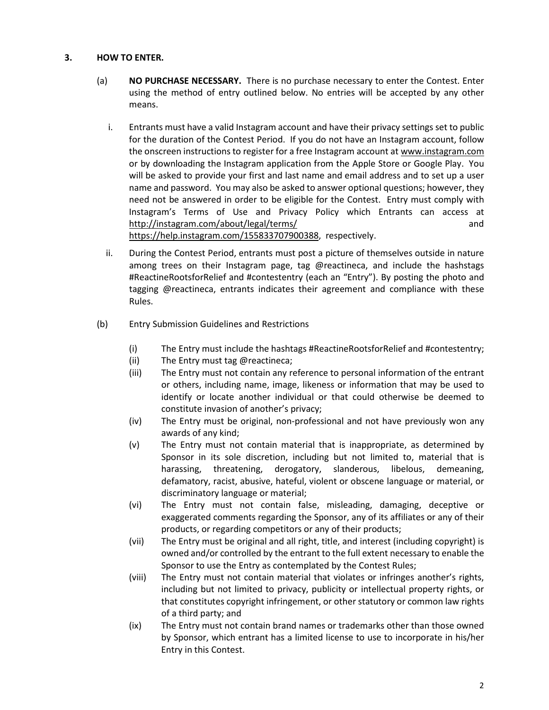## **3. HOW TO ENTER.**

- (a) **NO PURCHASE NECESSARY.** There is no purchase necessary to enter the Contest. Enter using the method of entry outlined below. No entries will be accepted by any other means.
	- i. Entrants must have a valid Instagram account and have their privacy settings set to public for the duration of the Contest Period. If you do not have an Instagram account, follow the onscreen instructions to register for a free Instagram account at www.instagram.com or by downloading the Instagram application from the Apple Store or Google Play. You will be asked to provide your first and last name and email address and to set up a user name and password. You may also be asked to answer optional questions; however, they need not be answered in order to be eligible for the Contest. Entry must comply with Instagram's Terms of Use and Privacy Policy which Entrants can access at <http://instagram.com/about/legal/terms/>and

[https://help.instagram.com/155833707900388,](https://help.instagram.com/155833707900388) respectively.

- ii. During the Contest Period, entrants must post a picture of themselves outside in nature among trees on their Instagram page, tag @reactineca, and include the hashstags #ReactineRootsforRelief and #contestentry (each an "Entry"). By posting the photo and tagging @reactineca, entrants indicates their agreement and compliance with these Rules.
- (b) Entry Submission Guidelines and Restrictions
	- (i) The Entry must include the hashtags #ReactineRootsforRelief and #contestentry;
	- (ii) The Entry must tag @reactineca;
	- (iii) The Entry must not contain any reference to personal information of the entrant or others, including name, image, likeness or information that may be used to identify or locate another individual or that could otherwise be deemed to constitute invasion of another's privacy;
	- (iv) The Entry must be original, non-professional and not have previously won any awards of any kind;
	- (v) The Entry must not contain material that is inappropriate, as determined by Sponsor in its sole discretion, including but not limited to, material that is harassing, threatening, derogatory, slanderous, libelous, demeaning, defamatory, racist, abusive, hateful, violent or obscene language or material, or discriminatory language or material;
	- (vi) The Entry must not contain false, misleading, damaging, deceptive or exaggerated comments regarding the Sponsor, any of its affiliates or any of their products, or regarding competitors or any of their products;
	- (vii) The Entry must be original and all right, title, and interest (including copyright) is owned and/or controlled by the entrant to the full extent necessary to enable the Sponsor to use the Entry as contemplated by the Contest Rules;
	- (viii) The Entry must not contain material that violates or infringes another's rights, including but not limited to privacy, publicity or intellectual property rights, or that constitutes copyright infringement, or other statutory or common law rights of a third party; and
	- (ix) The Entry must not contain brand names or trademarks other than those owned by Sponsor, which entrant has a limited license to use to incorporate in his/her Entry in this Contest.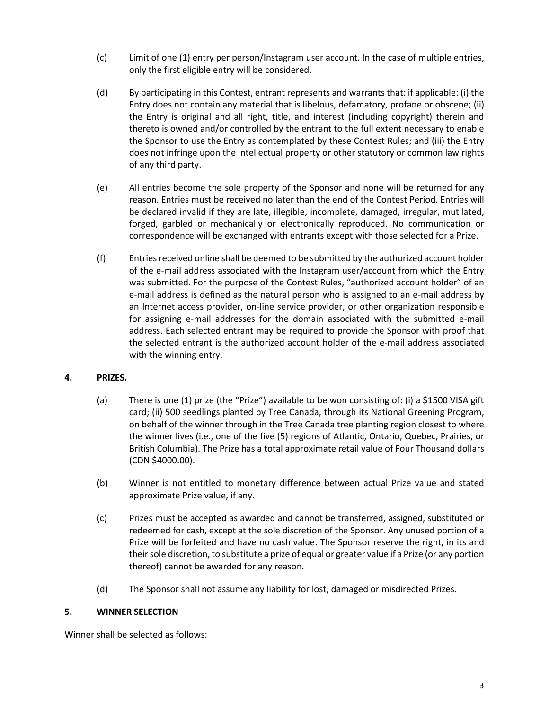- (c) Limit of one (1) entry per person/Instagram user account. In the case of multiple entries, only the first eligible entry will be considered.
- (d) By participating in this Contest, entrant represents and warrants that: if applicable: (i) the Entry does not contain any material that is libelous, defamatory, profane or obscene; (ii) the Entry is original and all right, title, and interest (including copyright) therein and thereto is owned and/or controlled by the entrant to the full extent necessary to enable the Sponsor to use the Entry as contemplated by these Contest Rules; and (iii) the Entry does not infringe upon the intellectual property or other statutory or common law rights of any third party.
- (e) All entries become the sole property of the Sponsor and none will be returned for any reason. Entries must be received no later than the end of the Contest Period. Entries will be declared invalid if they are late, illegible, incomplete, damaged, irregular, mutilated, forged, garbled or mechanically or electronically reproduced. No communication or correspondence will be exchanged with entrants except with those selected for a Prize.
- (f) Entries received online shall be deemed to be submitted by the authorized account holder of the e-mail address associated with the Instagram user/account from which the Entry was submitted. For the purpose of the Contest Rules, "authorized account holder" of an e-mail address is defined as the natural person who is assigned to an e-mail address by an Internet access provider, on-line service provider, or other organization responsible for assigning e-mail addresses for the domain associated with the submitted e-mail address. Each selected entrant may be required to provide the Sponsor with proof that the selected entrant is the authorized account holder of the e-mail address associated with the winning entry.

# **4. PRIZES.**

- (a) There is one (1) prize (the "Prize") available to be won consisting of: (i) a \$1500 VISA gift card; (ii) 500 seedlings planted by Tree Canada, through its National Greening Program, on behalf of the winner through in the Tree Canada tree planting region closest to where the winner lives (i.e., one of the five (5) regions of Atlantic, Ontario, Quebec, Prairies, or British Columbia). The Prize has a total approximate retail value of Four Thousand dollars (CDN \$4000.00).
- (b) Winner is not entitled to monetary difference between actual Prize value and stated approximate Prize value, if any.
- (c) Prizes must be accepted as awarded and cannot be transferred, assigned, substituted or redeemed for cash, except at the sole discretion of the Sponsor. Any unused portion of a Prize will be forfeited and have no cash value. The Sponsor reserve the right, in its and their sole discretion, to substitute a prize of equal or greater value if a Prize (or any portion thereof) cannot be awarded for any reason.
- (d) The Sponsor shall not assume any liability for lost, damaged or misdirected Prizes.

### **5. WINNER SELECTION**

Winner shall be selected as follows: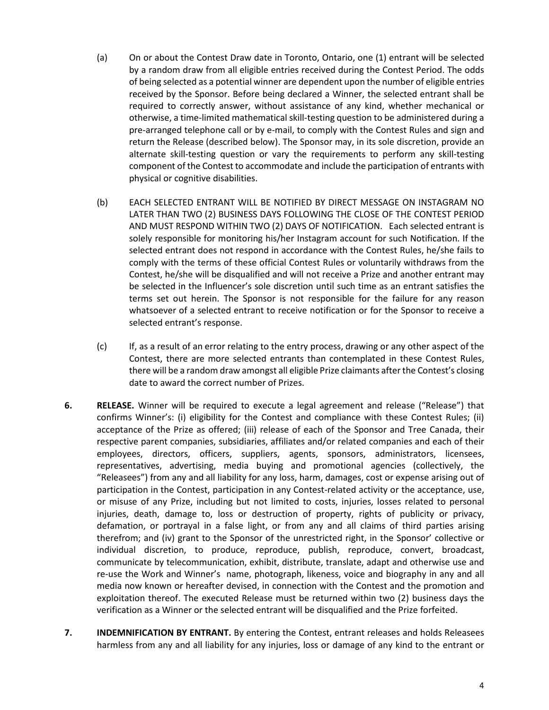- (a) On or about the Contest Draw date in Toronto, Ontario, one (1) entrant will be selected by a random draw from all eligible entries received during the Contest Period. The odds of being selected as a potential winner are dependent upon the number of eligible entries received by the Sponsor. Before being declared a Winner, the selected entrant shall be required to correctly answer, without assistance of any kind, whether mechanical or otherwise, a time-limited mathematical skill-testing question to be administered during a pre-arranged telephone call or by e-mail, to comply with the Contest Rules and sign and return the Release (described below). The Sponsor may, in its sole discretion, provide an alternate skill-testing question or vary the requirements to perform any skill-testing component of the Contest to accommodate and include the participation of entrants with physical or cognitive disabilities.
- (b) EACH SELECTED ENTRANT WILL BE NOTIFIED BY DIRECT MESSAGE ON INSTAGRAM NO LATER THAN TWO (2) BUSINESS DAYS FOLLOWING THE CLOSE OF THE CONTEST PERIOD AND MUST RESPOND WITHIN TWO (2) DAYS OF NOTIFICATION. Each selected entrant is solely responsible for monitoring his/her Instagram account for such Notification. If the selected entrant does not respond in accordance with the Contest Rules, he/she fails to comply with the terms of these official Contest Rules or voluntarily withdraws from the Contest, he/she will be disqualified and will not receive a Prize and another entrant may be selected in the Influencer's sole discretion until such time as an entrant satisfies the terms set out herein. The Sponsor is not responsible for the failure for any reason whatsoever of a selected entrant to receive notification or for the Sponsor to receive a selected entrant's response.
- (c) If, as a result of an error relating to the entry process, drawing or any other aspect of the Contest, there are more selected entrants than contemplated in these Contest Rules, there will be a random draw amongst all eligible Prize claimants after the Contest's closing date to award the correct number of Prizes.
- **6. RELEASE.** Winner will be required to execute a legal agreement and release ("Release") that confirms Winner's: (i) eligibility for the Contest and compliance with these Contest Rules; (ii) acceptance of the Prize as offered; (iii) release of each of the Sponsor and Tree Canada, their respective parent companies, subsidiaries, affiliates and/or related companies and each of their employees, directors, officers, suppliers, agents, sponsors, administrators, licensees, representatives, advertising, media buying and promotional agencies (collectively, the "Releasees") from any and all liability for any loss, harm, damages, cost or expense arising out of participation in the Contest, participation in any Contest-related activity or the acceptance, use, or misuse of any Prize, including but not limited to costs, injuries, losses related to personal injuries, death, damage to, loss or destruction of property, rights of publicity or privacy, defamation, or portrayal in a false light, or from any and all claims of third parties arising therefrom; and (iv) grant to the Sponsor of the unrestricted right, in the Sponsor' collective or individual discretion, to produce, reproduce, publish, reproduce, convert, broadcast, communicate by telecommunication, exhibit, distribute, translate, adapt and otherwise use and re-use the Work and Winner's name, photograph, likeness, voice and biography in any and all media now known or hereafter devised, in connection with the Contest and the promotion and exploitation thereof. The executed Release must be returned within two (2) business days the verification as a Winner or the selected entrant will be disqualified and the Prize forfeited.
- **7. INDEMNIFICATION BY ENTRANT.** By entering the Contest, entrant releases and holds Releasees harmless from any and all liability for any injuries, loss or damage of any kind to the entrant or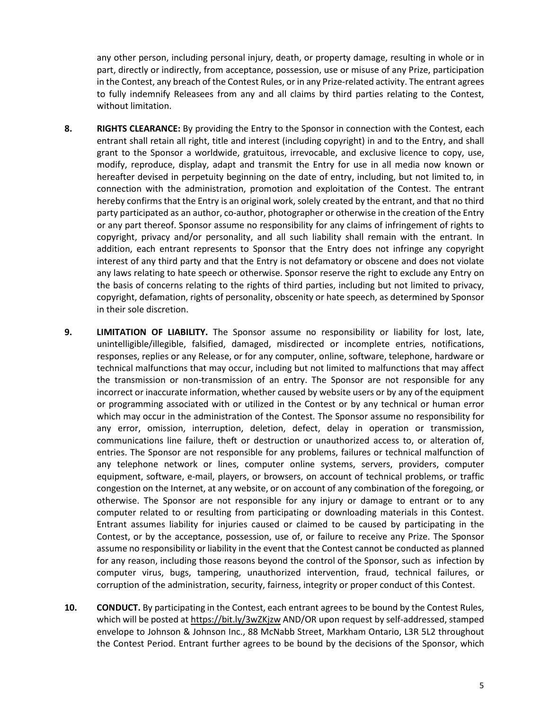any other person, including personal injury, death, or property damage, resulting in whole or in part, directly or indirectly, from acceptance, possession, use or misuse of any Prize, participation in the Contest, any breach of the Contest Rules, or in any Prize-related activity. The entrant agrees to fully indemnify Releasees from any and all claims by third parties relating to the Contest, without limitation.

- **8. RIGHTS CLEARANCE:** By providing the Entry to the Sponsor in connection with the Contest, each entrant shall retain all right, title and interest (including copyright) in and to the Entry, and shall grant to the Sponsor a worldwide, gratuitous, irrevocable, and exclusive licence to copy, use, modify, reproduce, display, adapt and transmit the Entry for use in all media now known or hereafter devised in perpetuity beginning on the date of entry, including, but not limited to, in connection with the administration, promotion and exploitation of the Contest. The entrant hereby confirms that the Entry is an original work, solely created by the entrant, and that no third party participated as an author, co-author, photographer or otherwise in the creation of the Entry or any part thereof. Sponsor assume no responsibility for any claims of infringement of rights to copyright, privacy and/or personality, and all such liability shall remain with the entrant. In addition, each entrant represents to Sponsor that the Entry does not infringe any copyright interest of any third party and that the Entry is not defamatory or obscene and does not violate any laws relating to hate speech or otherwise. Sponsor reserve the right to exclude any Entry on the basis of concerns relating to the rights of third parties, including but not limited to privacy, copyright, defamation, rights of personality, obscenity or hate speech, as determined by Sponsor in their sole discretion.
- **9. LIMITATION OF LIABILITY.** The Sponsor assume no responsibility or liability for lost, late, unintelligible/illegible, falsified, damaged, misdirected or incomplete entries, notifications, responses, replies or any Release, or for any computer, online, software, telephone, hardware or technical malfunctions that may occur, including but not limited to malfunctions that may affect the transmission or non-transmission of an entry. The Sponsor are not responsible for any incorrect or inaccurate information, whether caused by website users or by any of the equipment or programming associated with or utilized in the Contest or by any technical or human error which may occur in the administration of the Contest. The Sponsor assume no responsibility for any error, omission, interruption, deletion, defect, delay in operation or transmission, communications line failure, theft or destruction or unauthorized access to, or alteration of, entries. The Sponsor are not responsible for any problems, failures or technical malfunction of any telephone network or lines, computer online systems, servers, providers, computer equipment, software, e-mail, players, or browsers, on account of technical problems, or traffic congestion on the Internet, at any website, or on account of any combination of the foregoing, or otherwise. The Sponsor are not responsible for any injury or damage to entrant or to any computer related to or resulting from participating or downloading materials in this Contest. Entrant assumes liability for injuries caused or claimed to be caused by participating in the Contest, or by the acceptance, possession, use of, or failure to receive any Prize. The Sponsor assume no responsibility or liability in the event that the Contest cannot be conducted as planned for any reason, including those reasons beyond the control of the Sponsor, such as infection by computer virus, bugs, tampering, unauthorized intervention, fraud, technical failures, or corruption of the administration, security, fairness, integrity or proper conduct of this Contest.
- **10. CONDUCT.** By participating in the Contest, each entrant agrees to be bound by the Contest Rules, which will be posted at<https://bit.ly/3wZKjzw>AND/OR upon request by self-addressed, stamped envelope to Johnson & Johnson Inc., 88 McNabb Street, Markham Ontario, L3R 5L2 throughout the Contest Period. Entrant further agrees to be bound by the decisions of the Sponsor, which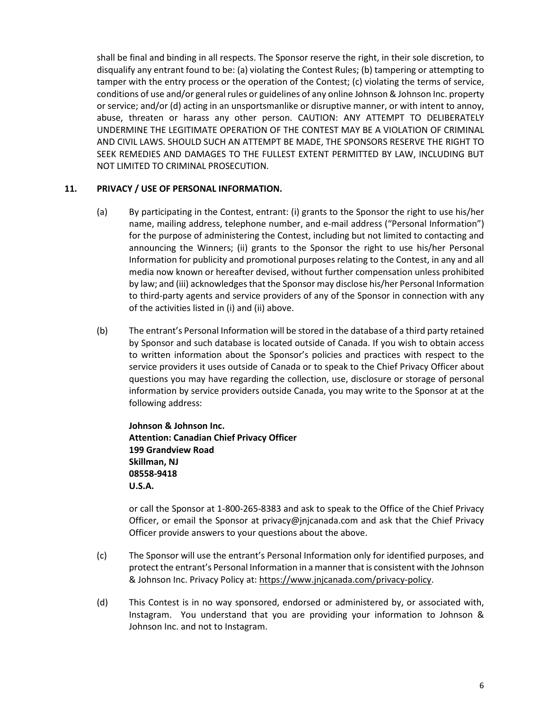shall be final and binding in all respects. The Sponsor reserve the right, in their sole discretion, to disqualify any entrant found to be: (a) violating the Contest Rules; (b) tampering or attempting to tamper with the entry process or the operation of the Contest; (c) violating the terms of service, conditions of use and/or general rules or guidelines of any online Johnson & Johnson Inc. property or service; and/or (d) acting in an unsportsmanlike or disruptive manner, or with intent to annoy, abuse, threaten or harass any other person. CAUTION: ANY ATTEMPT TO DELIBERATELY UNDERMINE THE LEGITIMATE OPERATION OF THE CONTEST MAY BE A VIOLATION OF CRIMINAL AND CIVIL LAWS. SHOULD SUCH AN ATTEMPT BE MADE, THE SPONSORS RESERVE THE RIGHT TO SEEK REMEDIES AND DAMAGES TO THE FULLEST EXTENT PERMITTED BY LAW, INCLUDING BUT NOT LIMITED TO CRIMINAL PROSECUTION.

## **11. PRIVACY / USE OF PERSONAL INFORMATION.**

- (a) By participating in the Contest, entrant: (i) grants to the Sponsor the right to use his/her name, mailing address, telephone number, and e-mail address ("Personal Information") for the purpose of administering the Contest, including but not limited to contacting and announcing the Winners; (ii) grants to the Sponsor the right to use his/her Personal Information for publicity and promotional purposes relating to the Contest, in any and all media now known or hereafter devised, without further compensation unless prohibited by law; and (iii) acknowledges that the Sponsor may disclose his/her Personal Information to third-party agents and service providers of any of the Sponsor in connection with any of the activities listed in (i) and (ii) above.
- (b) The entrant's Personal Information will be stored in the database of a third party retained by Sponsor and such database is located outside of Canada. If you wish to obtain access to written information about the Sponsor's policies and practices with respect to the service providers it uses outside of Canada or to speak to the Chief Privacy Officer about questions you may have regarding the collection, use, disclosure or storage of personal information by service providers outside Canada, you may write to the Sponsor at at the following address:

**Johnson & Johnson Inc. Attention: Canadian Chief Privacy Officer 199 Grandview Road Skillman, NJ 08558-9418 U.S.A.** 

or call the Sponsor at 1-800-265-8383 and ask to speak to the Office of the Chief Privacy Officer, or email the Sponsor at [privacy@jnjcanada.com](mailto:privacy@jnjcanada.com) and ask that the Chief Privacy Officer provide answers to your questions about the above.

- (c) The Sponsor will use the entrant's Personal Information only for identified purposes, and protect the entrant's Personal Information in a manner that is consistent with the Johnson & Johnson Inc. Privacy Policy at: [https://www.jnjcanada.com/privacy-policy.](https://www.jnjcanada.com/privacy-policy)
- (d) This Contest is in no way sponsored, endorsed or administered by, or associated with, Instagram. You understand that you are providing your information to Johnson & Johnson Inc. and not to Instagram.